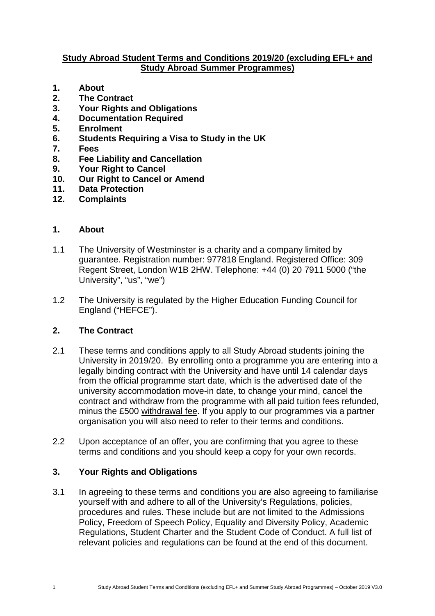### **Study Abroad Student Terms and Conditions 2019/20 (excluding EFL+ and Study Abroad Summer Programmes)**

- **1. About**
- **2. The Contract**
- **3. Your Rights and Obligations**
- **4. Documentation Required**
- **5. Enrolment**
- **6. Students Requiring a Visa to Study in the UK**
- **7. Fees**
- **8. Fee Liability and Cancellation**
- **9. Your Right to Cancel**
- **10. Our Right to Cancel or Amend**
- **11. Data Protection**
- **12. Complaints**

### **1. About**

- 1.1 The University of Westminster is a charity and a company limited by guarantee. Registration number: 977818 England. Registered Office: 309 Regent Street, London W1B 2HW. Telephone: +44 (0) 20 7911 5000 ("the University", "us", "we")
- 1.2 The University is regulated by the Higher Education Funding Council for England ("HEFCE").

# **2. The Contract**

- 2.1 These terms and conditions apply to all Study Abroad students joining the University in 2019/20. By enrolling onto a programme you are entering into a legally binding contract with the University and have until 14 calendar days from the official programme start date, which is the advertised date of the university accommodation move-in date, to change your mind, cancel the contract and withdraw from the programme with all paid tuition fees refunded, minus the £500 [withdrawal fee.](https://www.westminster.ac.uk/international/study-abroad/study-abroad-programmes-terms-and-conditions) If you apply to our programmes via a partner organisation you will also need to refer to their terms and conditions.
- 2.2 Upon acceptance of an offer, you are confirming that you agree to these terms and conditions and you should keep a copy for your own records.

# **3. Your Rights and Obligations**

3.1 In agreeing to these terms and conditions you are also agreeing to familiarise yourself with and adhere to all of the University's Regulations, policies, procedures and rules. These include but are not limited to the Admissions Policy, Freedom of Speech Policy, Equality and Diversity Policy, Academic Regulations, Student Charter and the Student Code of Conduct. A full list of relevant policies and regulations can be found at the end of this document.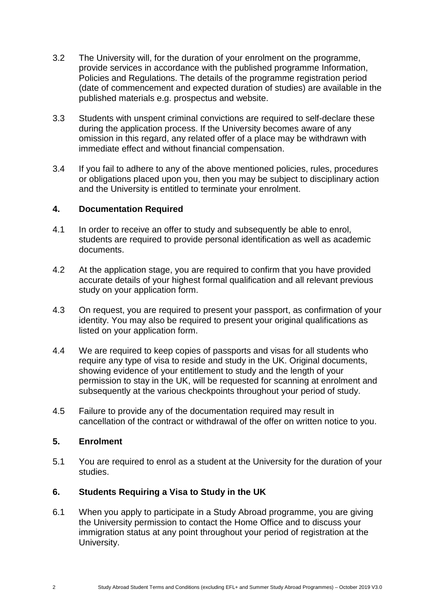- 3.2 The University will, for the duration of your enrolment on the programme, provide services in accordance with the published programme Information, Policies and Regulations. The details of the programme registration period (date of commencement and expected duration of studies) are available in the published materials e.g. prospectus and website.
- 3.3 Students with unspent criminal convictions are required to self-declare these during the application process. If the University becomes aware of any omission in this regard, any related offer of a place may be withdrawn with immediate effect and without financial compensation.
- 3.4 If you fail to adhere to any of the above mentioned policies, rules, procedures or obligations placed upon you, then you may be subject to disciplinary action and the University is entitled to terminate your enrolment.

#### **4. Documentation Required**

- 4.1 In order to receive an offer to study and subsequently be able to enrol, students are required to provide personal identification as well as academic documents.
- 4.2 At the application stage, you are required to confirm that you have provided accurate details of your highest formal qualification and all relevant previous study on your application form.
- 4.3 On request, you are required to present your passport, as confirmation of your identity. You may also be required to present your original qualifications as listed on your application form.
- 4.4 We are required to keep copies of passports and visas for all students who require any type of visa to reside and study in the UK. Original documents, showing evidence of your entitlement to study and the length of your permission to stay in the UK, will be requested for scanning at enrolment and subsequently at the various checkpoints throughout your period of study.
- 4.5 Failure to provide any of the documentation required may result in cancellation of the contract or withdrawal of the offer on written notice to you.

### **5. Enrolment**

5.1 You are required to enrol as a student at the University for the duration of your studies.

### **6. Students Requiring a Visa to Study in the UK**

6.1 When you apply to participate in a Study Abroad programme, you are giving the University permission to contact the Home Office and to discuss your immigration status at any point throughout your period of registration at the University.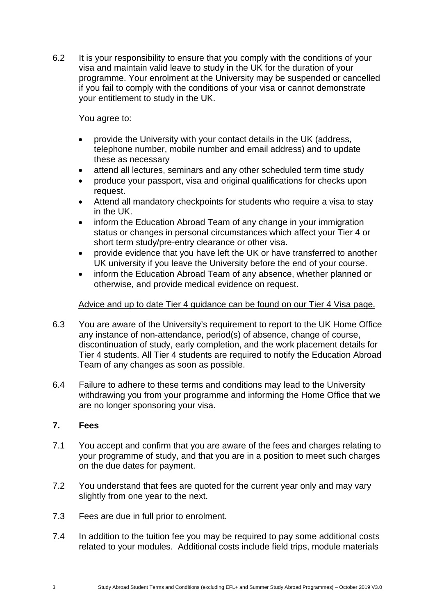6.2 It is your responsibility to ensure that you comply with the conditions of your visa and maintain valid leave to study in the UK for the duration of your programme. Your enrolment at the University may be suspended or cancelled if you fail to comply with the conditions of your visa or cannot demonstrate your entitlement to study in the UK.

You agree to:

- provide the University with your contact details in the UK (address, telephone number, mobile number and email address) and to update these as necessary
- attend all lectures, seminars and any other scheduled term time study
- produce your passport, visa and original qualifications for checks upon request.
- Attend all mandatory checkpoints for students who require a visa to stay in the UK.
- inform the Education Abroad Team of any change in your immigration status or changes in personal circumstances which affect your Tier 4 or short term study/pre-entry clearance or other visa.
- provide evidence that you have left the UK or have transferred to another UK university if you leave the University before the end of your course.
- inform the Education Abroad Team of any absence, whether planned or otherwise, and provide medical evidence on request.

### Advice and up to date Tier 4 guidance can be found on our [Tier 4 Visa page.](https://www.westminster.ac.uk/international/visas-and-advice/visas/tier-4-visa)

- 6.3 You are aware of the University's requirement to report to the UK Home Office any instance of non-attendance, period(s) of absence, change of course, discontinuation of study, early completion, and the work placement details for Tier 4 students. All Tier 4 students are required to notify the Education Abroad Team of any changes as soon as possible.
- 6.4 Failure to adhere to these terms and conditions may lead to the University withdrawing you from your programme and informing the Home Office that we are no longer sponsoring your visa.

### **7. Fees**

- 7.1 You accept and confirm that you are aware of the fees and charges relating to your programme of study, and that you are in a position to meet such charges on the due dates for payment.
- 7.2 You understand that fees are quoted for the current year only and may vary slightly from one year to the next.
- 7.3 Fees are due in full prior to enrolment.
- 7.4 In addition to the tuition fee you may be required to pay some additional costs related to your modules. Additional costs include field trips, module materials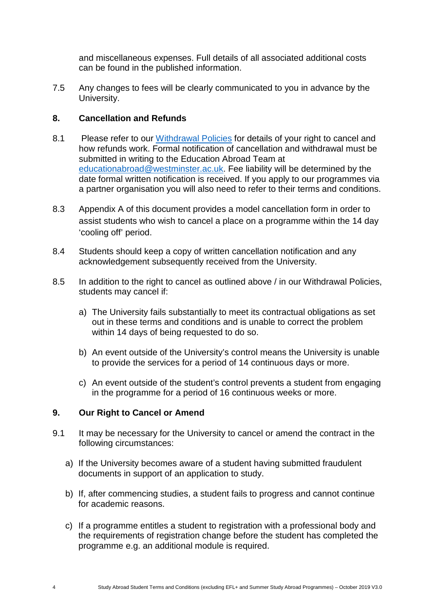and miscellaneous expenses. Full details of all associated additional costs can be found in the published information.

7.5 Any changes to fees will be clearly communicated to you in advance by the University.

## **8. Cancellation and Refunds**

- 8.1 Please refer to our [Withdrawal Policies](https://www.westminster.ac.uk/international/study-abroad/study-abroad-programmes-terms-and-conditions) for details of your right to cancel and how refunds work. Formal notification of cancellation and withdrawal must be submitted in writing to the Education Abroad Team at [educationabroad@westminster.ac.uk.](mailto:educationabroad@westminster.ac.uk) Fee liability will be determined by the date formal written notification is received. If you apply to our programmes via a partner organisation you will also need to refer to their terms and conditions.
- 8.3 Appendix A of this document provides a model cancellation form in order to assist students who wish to cancel a place on a programme within the 14 day 'cooling off' period.
- 8.4 Students should keep a copy of written cancellation notification and any acknowledgement subsequently received from the University.
- 8.5 In addition to the right to cancel as outlined above / in our Withdrawal Policies, students may cancel if:
	- a) The University fails substantially to meet its contractual obligations as set out in these terms and conditions and is unable to correct the problem within 14 days of being requested to do so.
	- b) An event outside of the University's control means the University is unable to provide the services for a period of 14 continuous days or more.
	- c) An event outside of the student's control prevents a student from engaging in the programme for a period of 16 continuous weeks or more.

### **9. Our Right to Cancel or Amend**

- 9.1 It may be necessary for the University to cancel or amend the contract in the following circumstances:
	- a) If the University becomes aware of a student having submitted fraudulent documents in support of an application to study.
	- b) If, after commencing studies, a student fails to progress and cannot continue for academic reasons.
	- c) If a programme entitles a student to registration with a professional body and the requirements of registration change before the student has completed the programme e.g. an additional module is required.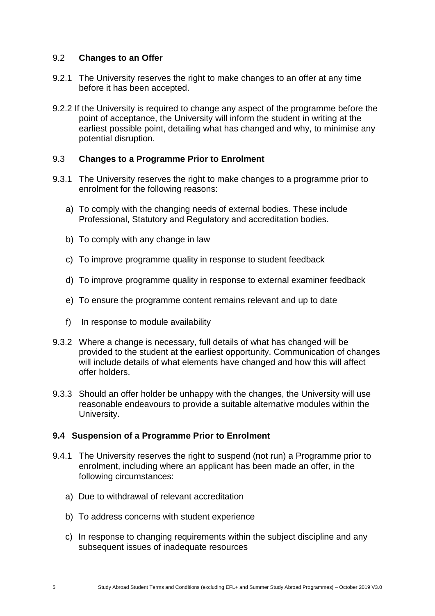#### 9.2 **Changes to an Offer**

- 9.2.1 The University reserves the right to make changes to an offer at any time before it has been accepted.
- 9.2.2 If the University is required to change any aspect of the programme before the point of acceptance, the University will inform the student in writing at the earliest possible point, detailing what has changed and why, to minimise any potential disruption.

#### 9.3 **Changes to a Programme Prior to Enrolment**

- 9.3.1 The University reserves the right to make changes to a programme prior to enrolment for the following reasons:
	- a) To comply with the changing needs of external bodies. These include Professional, Statutory and Regulatory and accreditation bodies.
	- b) To comply with any change in law
	- c) To improve programme quality in response to student feedback
	- d) To improve programme quality in response to external examiner feedback
	- e) To ensure the programme content remains relevant and up to date
	- f) In response to module availability
- 9.3.2 Where a change is necessary, full details of what has changed will be provided to the student at the earliest opportunity. Communication of changes will include details of what elements have changed and how this will affect offer holders.
- 9.3.3 Should an offer holder be unhappy with the changes, the University will use reasonable endeavours to provide a suitable alternative modules within the University.

#### **9.4 Suspension of a Programme Prior to Enrolment**

- 9.4.1 The University reserves the right to suspend (not run) a Programme prior to enrolment, including where an applicant has been made an offer, in the following circumstances:
	- a) Due to withdrawal of relevant accreditation
	- b) To address concerns with student experience
	- c) In response to changing requirements within the subject discipline and any subsequent issues of inadequate resources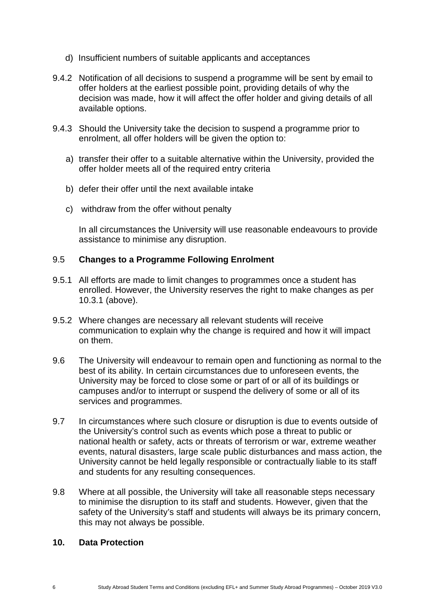- d) Insufficient numbers of suitable applicants and acceptances
- 9.4.2 Notification of all decisions to suspend a programme will be sent by email to offer holders at the earliest possible point, providing details of why the decision was made, how it will affect the offer holder and giving details of all available options.
- 9.4.3 Should the University take the decision to suspend a programme prior to enrolment, all offer holders will be given the option to:
	- a) transfer their offer to a suitable alternative within the University, provided the offer holder meets all of the required entry criteria
	- b) defer their offer until the next available intake
	- c) withdraw from the offer without penalty

In all circumstances the University will use reasonable endeavours to provide assistance to minimise any disruption.

### 9.5 **Changes to a Programme Following Enrolment**

- 9.5.1 All efforts are made to limit changes to programmes once a student has enrolled. However, the University reserves the right to make changes as per 10.3.1 (above).
- 9.5.2 Where changes are necessary all relevant students will receive communication to explain why the change is required and how it will impact on them.
- 9.6 The University will endeavour to remain open and functioning as normal to the best of its ability. In certain circumstances due to unforeseen events, the University may be forced to close some or part of or all of its buildings or campuses and/or to interrupt or suspend the delivery of some or all of its services and programmes.
- 9.7 In circumstances where such closure or disruption is due to events outside of the University's control such as events which pose a threat to public or national health or safety, acts or threats of terrorism or war, extreme weather events, natural disasters, large scale public disturbances and mass action, the University cannot be held legally responsible or contractually liable to its staff and students for any resulting consequences.
- 9.8 Where at all possible, the University will take all reasonable steps necessary to minimise the disruption to its staff and students. However, given that the safety of the University's staff and students will always be its primary concern, this may not always be possible.

## **10. Data Protection**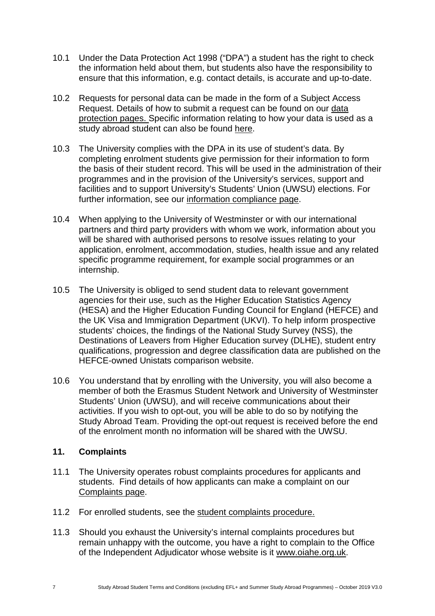- 10.1 Under the Data Protection Act 1998 ("DPA") a student has the right to check the information held about them, but students also have the responsibility to ensure that this information, e.g. contact details, is accurate and up-to-date.
- 10.2 Requests for personal data can be made in the form of a Subject Access Request. Details of how to submit a request can be found on our [data](https://www.westminster.ac.uk/about-us/our-university/corporate-information/information-compliance-and-records-management/data-protection/subject-access-request)  [protection pages.](https://www.westminster.ac.uk/about-us/our-university/corporate-information/information-compliance-and-records-management/data-protection/subject-access-request) Specific information relating to how your data is used as a study abroad student can also be found [here.](https://www.westminster.ac.uk/international/study-abroad/how-we-use-your-data)
- 10.3 The University complies with the DPA in its use of student's data. By completing enrolment students give permission for their information to form the basis of their student record. This will be used in the administration of their programmes and in the provision of the University's services, support and facilities and to support University's Students' Union (UWSU) elections. For further information, see our [information compliance page.](https://www.westminster.ac.uk/about-us/our-university/corporate-information/information-security-compliance-and-records-management)
- 10.4 When applying to the University of Westminster or with our international partners and third party providers with whom we work, information about you will be shared with authorised persons to resolve issues relating to your application, enrolment, accommodation, studies, health issue and any related specific programme requirement, for example social programmes or an internship.
- 10.5 The University is obliged to send student data to relevant government agencies for their use, such as the Higher Education Statistics Agency (HESA) and the Higher Education Funding Council for England (HEFCE) and the UK Visa and Immigration Department (UKVI). To help inform prospective students' choices, the findings of the National Study Survey (NSS), the Destinations of Leavers from Higher Education survey (DLHE), student entry qualifications, progression and degree classification data are published on the HEFCE-owned Unistats comparison website.
- 10.6 You understand that by enrolling with the University, you will also become a member of both the Erasmus Student Network and University of Westminster Students' Union (UWSU), and will receive communications about their activities. If you wish to opt-out, you will be able to do so by notifying the Study Abroad Team. Providing the opt-out request is received before the end of the enrolment month no information will be shared with the UWSU.

### **11. Complaints**

- 11.1 The University operates robust complaints procedures for applicants and students. Find details of how applicants can make a complaint on our [Complaints page.](https://www.westminster.ac.uk/about-us/our-university/corporate-information/policies-and-documents-a-z/applicant-complaints-procedure)
- 11.2 For enrolled students, see the [student complaints procedure.](https://www.westminster.ac.uk/study/current-students/your-studies/forms-and-procedures/complaints)
- 11.3 Should you exhaust the University's internal complaints procedures but remain unhappy with the outcome, you have a right to complain to the Office of the Independent Adjudicator whose website is it [www.oiahe.org.uk.](http://www.oiahe.org.uk/)